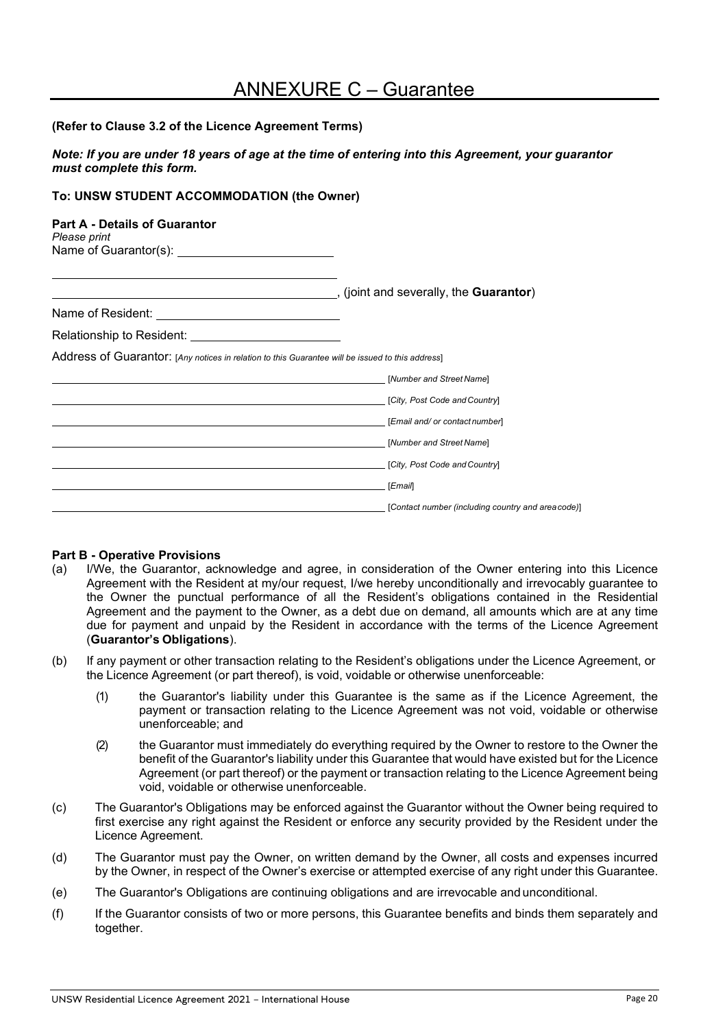# ANNEXURE C – Guarantee

#### **(Refer to Clause 3.2 of the Licence Agreement Terms)**

*Note: If you are under 18 years of age at the time of entering into this Agreement, your guarantor must complete this form.*

### **To: UNSW STUDENT ACCOMMODATION (the Owner)**

#### **Part A - Details of Guarantor**

| Please print          |  |
|-----------------------|--|
| Name of Guarantor(s): |  |

|                                                                                                  | , (joint and severally, the <b>Guarantor</b> )    |
|--------------------------------------------------------------------------------------------------|---------------------------------------------------|
| Name of Resident: Name of Resident:                                                              |                                                   |
| Relationship to Resident:                                                                        |                                                   |
| Address of Guarantor: [Any notices in relation to this Guarantee will be issued to this address] |                                                   |
|                                                                                                  | [Number and Street Name]                          |
|                                                                                                  | [City, Post Code and Country]                     |
|                                                                                                  | [Email and/ or contact number]                    |
|                                                                                                  | [Number and Street Name]                          |
|                                                                                                  | [City, Post Code and Country]                     |
|                                                                                                  | [Email]                                           |
|                                                                                                  | [Contact number (including country and areacode)] |

#### **Part B - Operative Provisions**

- (a) I/We, the Guarantor, acknowledge and agree, in consideration of the Owner entering into this Licence Agreement with the Resident at my/our request, I/we hereby unconditionally and irrevocably guarantee to the Owner the punctual performance of all the Resident's obligations contained in the Residential Agreement and the payment to the Owner, as a debt due on demand, all amounts which are at any time due for payment and unpaid by the Resident in accordance with the terms of the Licence Agreement (**Guarantor's Obligations**).
- (b) If any payment or other transaction relating to the Resident's obligations under the Licence Agreement, or the Licence Agreement (or part thereof), is void, voidable or otherwise unenforceable:
	- (1) the Guarantor's liability under this Guarantee is the same as if the Licence Agreement, the payment or transaction relating to the Licence Agreement was not void, voidable or otherwise unenforceable; and
	- (2) the Guarantor must immediately do everything required by the Owner to restore to the Owner the benefit of the Guarantor's liability under this Guarantee that would have existed but for the Licence Agreement (or part thereof) or the payment or transaction relating to the Licence Agreement being void, voidable or otherwise unenforceable.
- (c) The Guarantor's Obligations may be enforced against the Guarantor without the Owner being required to first exercise any right against the Resident or enforce any security provided by the Resident under the Licence Agreement.
- (d) The Guarantor must pay the Owner, on written demand by the Owner, all costs and expenses incurred by the Owner, in respect of the Owner's exercise or attempted exercise of any right under this Guarantee.
- (e) The Guarantor's Obligations are continuing obligations and are irrevocable andunconditional.
- (f) If the Guarantor consists of two or more persons, this Guarantee benefits and binds them separately and together.